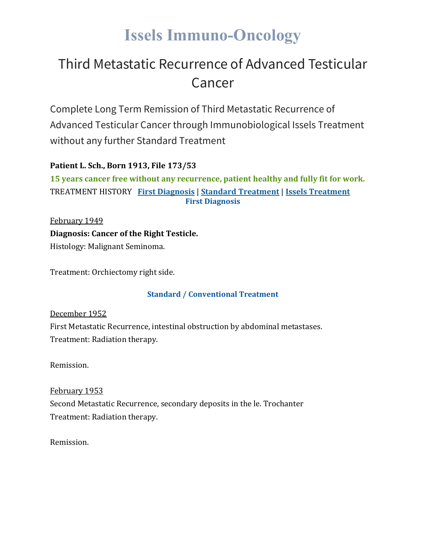# **Issels Immuno-Oncology**

# Third Metastatic Recurrence of Advanced Testicular Cancer

Complete Long Term Remission of Third Metastatic Recurrence of Advanced Testicular Cancer through Immunobiological Issels Treatment without any further Standard Treatment

## **Patient L. Sch., Born 1913, File 173/53**

**15 years cancer free without any recurrence, patient healthy and fully fit for work.** TREATMENT HISTORY **First [Diagnosis](https://issels.com/cancer-cases/testicular-3-metastatic-recurrence-of-advanced-testicular-cancer/#First)** | **Standard [Treatment](https://issels.com/cancer-cases/testicular-3-metastatic-recurrence-of-advanced-testicular-cancer/#Standard)** | **Issels [Treatment](https://issels.com/cancer-cases/testicular-3-metastatic-recurrence-of-advanced-testicular-cancer/#Issels) First Diagnosis**

February 1949 **Diagnosis: Cancer of the Right Testicle.** Histology: Malignant Seminoma.

Treatment: Orchiectomy right side.

### **Standard / Conventional Treatment**

December 1952

First Metastatic Recurrence, intestinal obstruction by abdominal metastases. Treatment: Radiation therapy.

Remission.

### February 1953

Second Metastatic Recurrence, secondary deposits in the le. Trochanter Treatment: Radiation therapy.

Remission.